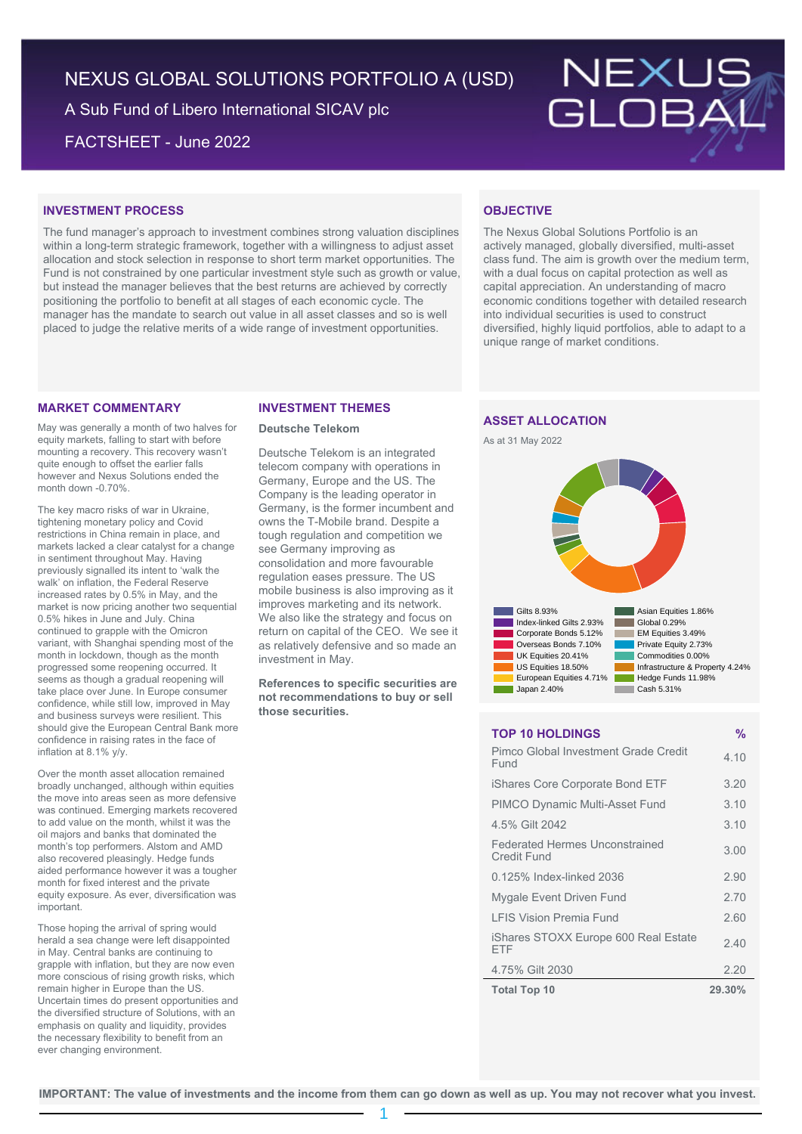# NEXUS GLOBAL SOLUTIONS PORTFOLIO A (USD)

A Sub Fund of Libero International SICAV plc

FACTSHEET - June 2022



# **INVESTMENT PROCESS**

The fund manager's approach to investment combines strong valuation disciplines within a long-term strategic framework, together with a willingness to adjust asset allocation and stock selection in response to short term market opportunities. The Fund is not constrained by one particular investment style such as growth or value, but instead the manager believes that the best returns are achieved by correctly positioning the portfolio to benefit at all stages of each economic cycle. The manager has the mandate to search out value in all asset classes and so is well placed to judge the relative merits of a wide range of investment opportunities.

# **OBJECTIVE**

The Nexus Global Solutions Portfolio is an actively managed, globally diversified, multi-asset class fund. The aim is growth over the medium term, with a dual focus on capital protection as well as capital appreciation. An understanding of macro economic conditions together with detailed research into individual securities is used to construct diversified, highly liquid portfolios, able to adapt to a unique range of market conditions.

### **MARKET COMMENTARY**

May was generally a month of two halves for equity markets, falling to start with before mounting a recovery. This recovery wasn't quite enough to offset the earlier falls however and Nexus Solutions ended the month down -0.70%.

The key macro risks of war in Ukraine, tightening monetary policy and Covid restrictions in China remain in place, and markets lacked a clear catalyst for a change in sentiment throughout May. Having previously signalled its intent to 'walk the walk' on inflation, the Federal Reserve increased rates by 0.5% in May, and the market is now pricing another two sequential 0.5% hikes in June and July. China continued to grapple with the Omicron variant, with Shanghai spending most of the month in lockdown, though as the month progressed some reopening occurred. It seems as though a gradual reopening will take place over June. In Europe consumer confidence, while still low, improved in May and business surveys were resilient. This should give the European Central Bank more confidence in raising rates in the face of inflation at 8.1% y/y.

Over the month asset allocation remained broadly unchanged, although within equities the move into areas seen as more defensive was continued. Emerging markets recovered to add value on the month, whilst it was the oil majors and banks that dominated the month's top performers. Alstom and AMD also recovered pleasingly. Hedge funds aided performance however it was a tougher month for fixed interest and the private equity exposure. As ever, diversification was important.

Those hoping the arrival of spring would herald a sea change were left disappointed in May. Central banks are continuing to grapple with inflation, but they are now even more conscious of rising growth risks, which remain higher in Europe than the US. Uncertain times do present opportunities and the diversified structure of Solutions, with an emphasis on quality and liquidity, provides the necessary flexibility to benefit from an ever changing environment.

### **INVESTMENT THEMES**

### **Deutsche Telekom**

Deutsche Telekom is an integrated telecom company with operations in Germany, Europe and the US. The Company is the leading operator in Germany, is the former incumbent and owns the T-Mobile brand. Despite a tough regulation and competition we see Germany improving as consolidation and more favourable regulation eases pressure. The US mobile business is also improving as it improves marketing and its network. We also like the strategy and focus on return on capital of the CEO. We see it as relatively defensive and so made an investment in May.

**References to specific securities are not recommendations to buy or sell those securities.**

# **ASSET ALLOCATION**





### **TOP 10 HOLDINGS %**

| Pimco Global Investment Grade Credit<br>Fund         | 4.10   |
|------------------------------------------------------|--------|
| iShares Core Corporate Bond ETF                      | 3.20   |
| <b>PIMCO Dynamic Multi-Asset Fund</b>                | 3.10   |
| 4.5% Gilt 2042                                       | 3.10   |
| <b>Federated Hermes Unconstrained</b><br>Credit Fund | 3.00   |
| 0.125% Index-linked 2036                             | 2.90   |
| Mygale Event Driven Fund                             | 2.70   |
| <b>I FIS Vision Premia Fund</b>                      | 2.60   |
| iShares STOXX Europe 600 Real Estate<br>FTF          | 2.40   |
| 4.75% Gilt 2030                                      | 2.20   |
| <b>Total Top 10</b>                                  | 29.30% |

**IMPORTANT: The value of investments and the income from them can go down as well as up. You may not recover what you invest.**